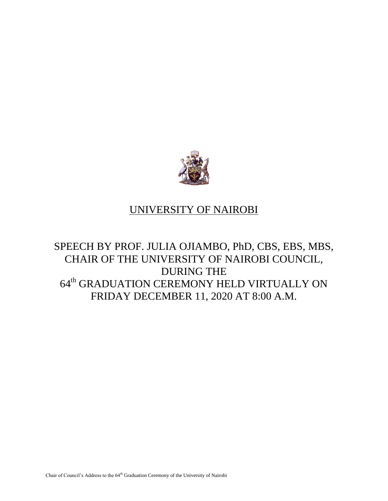

## UNIVERSITY OF NAIROBI

## SPEECH BY PROF. JULIA OJIAMBO, PhD, CBS, EBS, MBS, CHAIR OF THE UNIVERSITY OF NAIROBI COUNCIL, DURING THE 64<sup>th</sup> GRADUATION CEREMONY HELD VIRTUALLY ON FRIDAY DECEMBER 11, 2020 AT 8:00 A.M.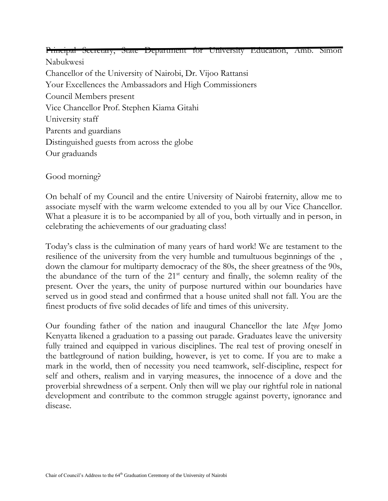Principal Secretary, State Department for University Education, Amb. Simon Nabukwesi Chancellor of the University of Nairobi, Dr. Vijoo Rattansi Your Excellences the Ambassadors and High Commissioners Council Members present Vice Chancellor Prof. Stephen Kiama Gitahi University staff Parents and guardians Distinguished guests from across the globe Our graduands

Good morning?

On behalf of my Council and the entire University of Nairobi fraternity, allow me to associate myself with the warm welcome extended to you all by our Vice Chancellor. What a pleasure it is to be accompanied by all of you, both virtually and in person, in celebrating the achievements of our graduating class!

Today's class is the culmination of many years of hard work! We are testament to the resilience of the university from the very humble and tumultuous beginnings of the, down the clamour for multiparty democracy of the 80s, the sheer greatness of the 90s, the abundance of the turn of the  $21<sup>st</sup>$  century and finally, the solemn reality of the present. Over the years, the unity of purpose nurtured within our boundaries have served us in good stead and confirmed that a house united shall not fall. You are the finest products of five solid decades of life and times of this university.

Our founding father of the nation and inaugural Chancellor the late *Mzee* Jomo Kenyatta likened a graduation to a passing out parade. Graduates leave the university fully trained and equipped in various disciplines. The real test of proving oneself in the battleground of nation building, however, is yet to come. If you are to make a mark in the world, then of necessity you need teamwork, self-discipline, respect for self and others, realism and in varying measures, the innocence of a dove and the proverbial shrewdness of a serpent. Only then will we play our rightful role in national development and contribute to the common struggle against poverty, ignorance and disease.